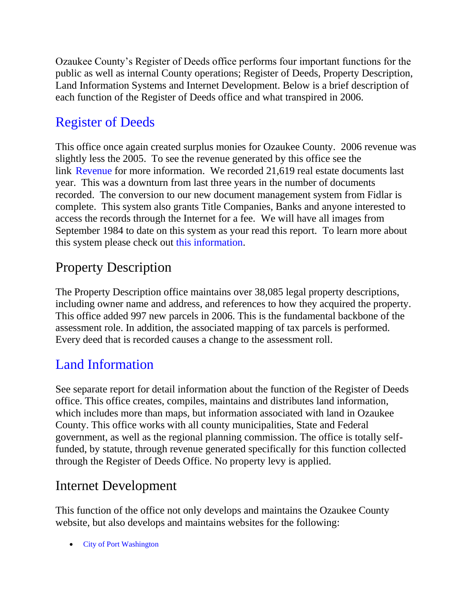Ozaukee County's Register of Deeds office performs four important functions for the public as well as internal County operations; Register of Deeds, Property Description, Land Information Systems and Internet Development. Below is a brief description of each function of the Register of Deeds office and what transpired in 2006.

## [Register of Deeds](http://www.co.ozaukee.wi.us/RegisterDeeds/Index.htm)

This office once again created surplus monies for Ozaukee County. 2006 revenue was slightly less the 2005. To see the revenue generated by this office see the link [Revenue](http://www.co.ozaukee.wi.us/RegisterDeeds/Revenue.htm) for more information. We recorded 21,619 real estate documents last year. This was a downturn from last three years in the number of documents recorded. The conversion to our new document management system from Fidlar is complete. This system also grants Title Companies, Banks and anyone interested to access the records through the Internet for a fee. We will have all images from September 1984 to date on this system as your read this report. To learn more about this system please check out [this information.](http://www.co.ozaukee.wi.us/RegisterDeeds/RealEstate/Index.htm)

## Property Description

The Property Description office maintains over 38,085 legal property descriptions, including owner name and address, and references to how they acquired the property. This office added 997 new parcels in 2006. This is the fundamental backbone of the assessment role. In addition, the associated mapping of tax parcels is performed. Every deed that is recorded causes a change to the assessment roll.

## [Land Information](http://www.co.ozaukee.wi.us/landinfo/Index.htm)

See separate report for detail information about the function of the Register of Deeds office. This office creates, compiles, maintains and distributes land information, which includes more than maps, but information associated with land in Ozaukee County. This office works with all county municipalities, State and Federal government, as well as the regional planning commission. The office is totally selffunded, by statute, through revenue generated specifically for this function collected through the Register of Deeds Office. No property levy is applied.

## Internet Development

This function of the office not only develops and maintains the Ozaukee County website, but also develops and maintains websites for the following:

• [City of Port Washington](http://www.ci.port-washington.wi.us/)